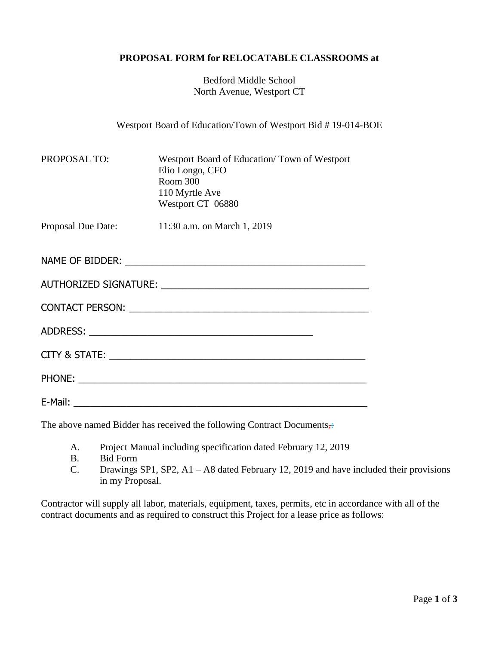## **PROPOSAL FORM for RELOCATABLE CLASSROOMS at**

Bedford Middle School North Avenue, Westport CT

Westport Board of Education/Town of Westport Bid # 19-014-BOE

| PROPOSAL TO: | Westport Board of Education/Town of Westport<br>Elio Longo, CFO<br>Room 300<br>110 Myrtle Ave<br>Westport CT 06880 |
|--------------|--------------------------------------------------------------------------------------------------------------------|
|              | Proposal Due Date: 11:30 a.m. on March 1, 2019                                                                     |
|              |                                                                                                                    |
|              |                                                                                                                    |
|              |                                                                                                                    |
|              |                                                                                                                    |
|              |                                                                                                                    |
|              |                                                                                                                    |
|              |                                                                                                                    |

The above named Bidder has received the following Contract Documents,

- A. Project Manual including specification dated February 12, 2019
- B. Bid Form
- C. Drawings SP1, SP2, A1 A8 dated February 12, 2019 and have included their provisions in my Proposal.

Contractor will supply all labor, materials, equipment, taxes, permits, etc in accordance with all of the contract documents and as required to construct this Project for a lease price as follows: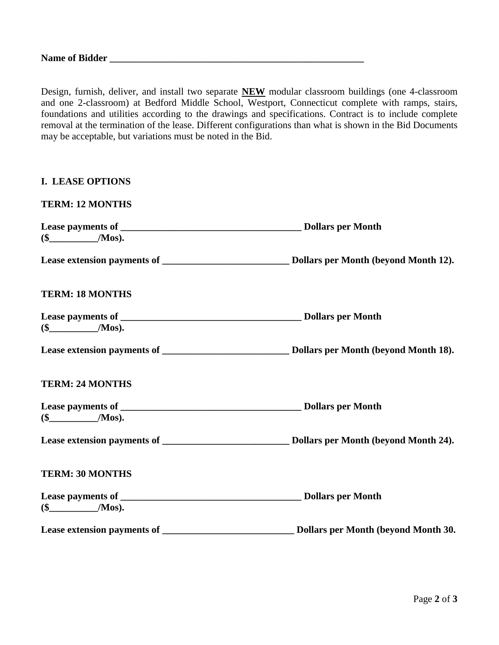Design, furnish, deliver, and install two separate **NEW** modular classroom buildings (one 4-classroom and one 2-classroom) at Bedford Middle School, Westport, Connecticut complete with ramps, stairs, foundations and utilities according to the drawings and specifications. Contract is to include complete removal at the termination of the lease. Different configurations than what is shown in the Bid Documents may be acceptable, but variations must be noted in the Bid.

| <b>I. LEASE OPTIONS</b> |  |
|-------------------------|--|
| <b>TERM: 12 MONTHS</b>  |  |
|                         |  |
|                         |  |
| <b>TERM: 18 MONTHS</b>  |  |
|                         |  |
|                         |  |
| <b>TERM: 24 MONTHS</b>  |  |
|                         |  |
|                         |  |
| <b>TERM: 30 MONTHS</b>  |  |
|                         |  |
|                         |  |